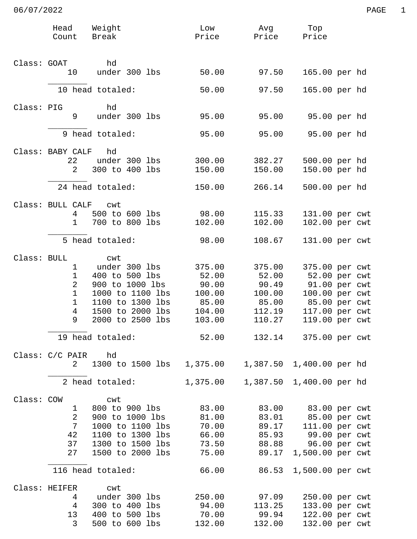|             | Head<br>Count                  | Weight<br>Break                                        | Low              | Avg<br>Price Price Price   | Top                                           |  |
|-------------|--------------------------------|--------------------------------------------------------|------------------|----------------------------|-----------------------------------------------|--|
| Class: GOAT |                                | hd                                                     |                  |                            |                                               |  |
|             | 10                             | under 300 lbs                                          | 50.00            | 97.50                      | 165.00 per hd                                 |  |
|             |                                | 10 head totaled:                                       | 50.00            | 97.50                      | 165.00 per hd                                 |  |
| Class: PIG  | 9                              | hd<br>under 300 lbs                                    | 95.00            | 95.00                      | 95.00 per hd                                  |  |
|             |                                |                                                        |                  |                            |                                               |  |
|             |                                | 9 head totaled:                                        | 95.00            | 95.00                      | 95.00 per hd                                  |  |
|             | Class: BABY CALF               | hd                                                     |                  |                            |                                               |  |
|             | 22<br>$\overline{2}$           | under 300 lbs<br>300 to 400 lbs                        | 300.00<br>150.00 | 382.27<br>150.00           | 500.00 per hd<br>150.00 per hd                |  |
|             |                                |                                                        |                  |                            |                                               |  |
|             |                                | 24 head totaled:                                       | 150.00           | 266.14                     | 500.00 per hd                                 |  |
|             | Class: BULL CALF cwt           |                                                        |                  |                            |                                               |  |
|             | 4                              | 500 to 600 lbs                                         | 98.00            | 115.33                     | 131.00 per cwt                                |  |
|             | $\mathbf{1}$                   | 700 to 800 lbs                                         | 102.00           | 102.00                     | 102.00 per cwt                                |  |
|             |                                | 5 head totaled:                                        | 98.00            | 108.67                     | 131.00 per cwt                                |  |
| Class: BULL |                                | cwt                                                    |                  |                            |                                               |  |
|             | 1                              | under 300 lbs                                          | 375.00           | 375.00                     | 375.00 per cwt                                |  |
|             | $\mathbf{1}$                   | 400 to 500 lbs                                         | 52.00            | 52.00                      | 52.00 per cwt                                 |  |
|             | $\overline{2}$<br>$\mathbf{1}$ | 900 to 1000 lbs<br>1000 to 1100 lbs                    | 90.00<br>100.00  | 90.49<br>100.00            | 91.00 per cwt                                 |  |
|             | $\mathbf{1}$                   | 1100 to 1300 lbs                                       | 85.00            | 85.00                      | 100.00 per cwt<br>85.00 per cwt               |  |
|             | 4                              | 1500 to 2000 lbs                                       | 104.00           | 112.19                     | 117.00 per cwt                                |  |
|             | 9                              | 2000 to 2500 lbs                                       | 103.00           | 110.27                     | 119.00 per cwt                                |  |
|             |                                | 19 head totaled:                                       | 52.00            |                            | 132.14 375.00 per cwt                         |  |
|             | Class: C/C PAIR hd             |                                                        |                  |                            |                                               |  |
|             |                                | 2 1300 to 1500 lbs 1,375.00                            |                  | 1,387.50 1,400.00 per hd   |                                               |  |
|             | 2 head totaled:                |                                                        | 1,375.00         | 1,387.50 1,400.00 per hd   |                                               |  |
|             | Class: COW                     | cwt                                                    |                  |                            |                                               |  |
|             | $\mathbf{1}$                   | 800 to 900 lbs 83.00 83.00 83.00 per cwt               |                  |                            |                                               |  |
|             | 2                              | 900 to 1000 lbs 81.00 83.01 85.00 per cwt              |                  |                            |                                               |  |
|             | $7\overline{ }$                | 1000 to 1100 lbs 70.00 89.17 111.00 per cwt            |                  |                            |                                               |  |
|             |                                | 42 1100 to 1300 lbs 66.00                              |                  |                            | 85.93 99.00 per cwt                           |  |
|             |                                | 37 1300 to 1500 lbs 73.50<br>27 1500 to 2000 lbs 75.00 |                  |                            | 88.88 96.00 per cwt<br>89.17 1,500.00 per cwt |  |
|             |                                | 116 head totaled:                                      |                  |                            |                                               |  |
|             | Class: HEIFER cwt              |                                                        |                  |                            |                                               |  |
|             | $4\overline{ }$                | under 300 lbs                                          | 250.00           | 97.09                      | 250.00 per cwt                                |  |
|             | $4\overline{ }$                | 300 to 400 lbs                                         | 94.00            | 113.25                     | 133.00 per cwt                                |  |
|             |                                | 13 400 to 500 lbs                                      |                  | 70.00 99.94 122.00 per cwt |                                               |  |
|             | $\mathbf{3}$                   | 500 to 600 lbs                                         | 132.00           | 132.00                     | 132.00 per cwt                                |  |

06/07/2022 PAGE 1